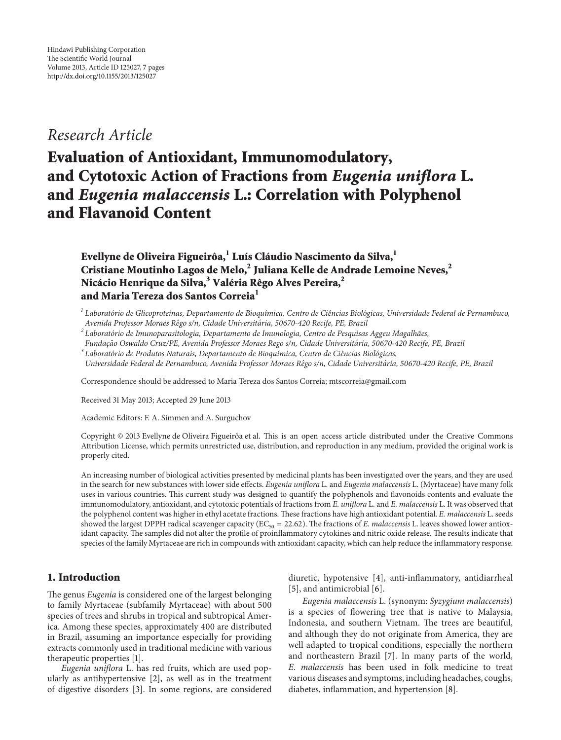## *Research Article*

# **Evaluation of Antioxidant, Immunomodulatory, and Cytotoxic Action of Fractions from** *Eugenia uniflora* **L. and** *Eugenia malaccensis* **L.: Correlation with Polyphenol and Flavanoid Content**

## Evellyne de Oliveira Figueirôa,<sup>1</sup> Luís Cláudio Nascimento da Silva,<sup>1</sup> **Cristiane Moutinho Lagos de Melo,<sup>2</sup> Juliana Kelle de Andrade Lemoine Neves,2 Nicácio Henrique da Silva,<sup>3</sup> Valéria Rêgo Alves Pereira,2 and Maria Tereza dos Santos Correia<sup>1</sup>**

*<sup>1</sup> Laboratorio de Glicoprote ´ ´ınas, Departamento de Bioqu´ımica, Centro de Ciencias Biol ˆ ogicas, Universidade Federal de Pernambuco, ´ Avenida Professor Moraes Rego s/n, Cidade Universit ˆ aria, 50670-420 Recife, PE, Brazil ´*

*<sup>2</sup> Laboratorio de Imunoparasitologia, Departamento de Imunologia, Centro de Pesquisas Aggeu Magalh ´ aes, ˜*

*Fundac¸ao Oswaldo Cruz/PE, Avenida Professor Moraes Rego s/n, Cidade Universit ˜ aria, 50670-420 Recife, PE, Brazil ´*

*<sup>3</sup> Laboratorio de Produtos Naturais, Departamento de Bioqu ´ ´ımica, Centro de Ciencias Biol ˆ ogicas, ´ Universidade Federal de Pernambuco, Avenida Professor Moraes Rego s/n, Cidade Universit ˆ aria, 50670-420 Recife, PE, Brazil ´*

Correspondence should be addressed to Maria Tereza dos Santos Correia; mtscorreia@gmail.com

Received 31 May 2013; Accepted 29 June 2013

Academic Editors: F. A. Simmen and A. Surguchov

Copyright © 2013 Evellyne de Oliveira Figueirôa et al. This is an open access article distributed under the Creative Commons Attribution License, which permits unrestricted use, distribution, and reproduction in any medium, provided the original work is properly cited.

An increasing number of biological activities presented by medicinal plants has been investigated over the years, and they are used in the search for new substances with lower side effects. *Eugenia uniflora* L. and *Eugenia malaccensis* L. (Myrtaceae) have many folk uses in various countries. This current study was designed to quantify the polyphenols and flavonoids contents and evaluate the immunomodulatory, antioxidant, and cytotoxic potentials of fractions from *E. uniflora* L. and *E. malaccensis* L. It was observed that the polyphenol content was higher in ethyl acetate fractions. These fractions have high antioxidant potential. *E. malaccensis* L. seeds showed the largest DPPH radical scavenger capacity (EC<sub>50</sub> = 22.62). The fractions of *E. malaccensis* L. leaves showed lower antioxidant capacity. The samples did not alter the profile of proinflammatory cytokines and nitric oxide release. The results indicate that species of the family Myrtaceae are rich in compounds with antioxidant capacity, which can help reduce the inflammatory response.

### **1. Introduction**

The genus *Eugenia* is considered one of the largest belonging to family Myrtaceae (subfamily Myrtaceae) with about 500 species of trees and shrubs in tropical and subtropical America. Among these species, approximately 400 are distributed in Brazil, assuming an importance especially for providing extracts commonly used in traditional medicine with various therapeutic properties [\[1\]](#page-5-1).

*Eugenia uniflora* L. has red fruits, which are used popularly as antihypertensive [\[2](#page-5-2)], as well as in the treatment of digestive disorders [\[3](#page-5-3)]. In some regions, are considered diuretic, hypotensive [\[4](#page-5-4)], anti-inflammatory, antidiarrheal [\[5\]](#page-5-5), and antimicrobial [\[6\]](#page-5-6).

*Eugenia malaccensis* L. (synonym: *Syzygium malaccensis*) is a species of flowering tree that is native to Malaysia, Indonesia, and southern Vietnam. The trees are beautiful, and although they do not originate from America, they are well adapted to tropical conditions, especially the northern and northeastern Brazil [\[7](#page-5-7)]. In many parts of the world, *E*. *malaccensis* has been used in folk medicine to treat various diseases and symptoms, including headaches, coughs, diabetes, inflammation, and hypertension [\[8\]](#page-5-8).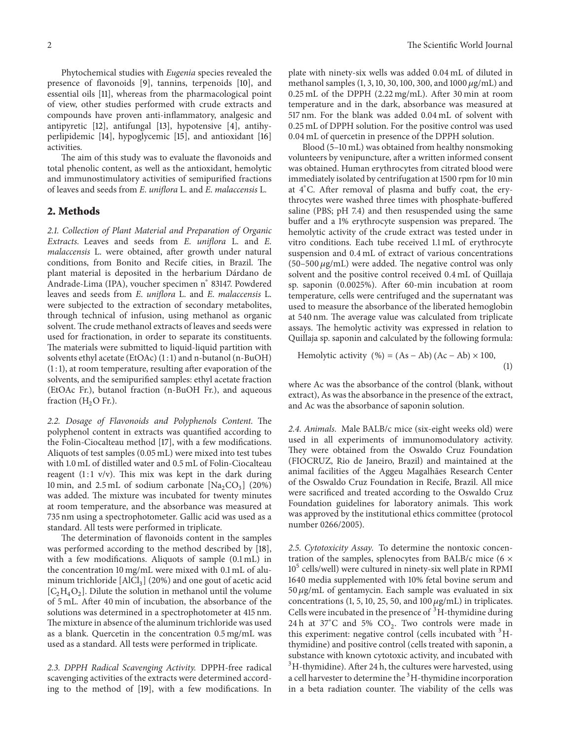Phytochemical studies with *Eugenia* species revealed the presence of flavonoids [\[9\]](#page-5-9), tannins, terpenoids [\[10\]](#page-5-10), and essential oils [\[11](#page-5-11)], whereas from the pharmacological point of view, other studies performed with crude extracts and compounds have proven anti-inflammatory, analgesic and antipyretic [\[12](#page-5-12)], antifungal [\[13\]](#page-5-13), hypotensive [\[4\]](#page-5-4), antihyperlipidemic [\[14\]](#page-5-14), hypoglycemic [\[15](#page-5-15)], and antioxidant [\[16](#page-5-16)] activities.

The aim of this study was to evaluate the flavonoids and total phenolic content, as well as the antioxidant, hemolytic and immunostimulatory activities of semipurified fractions of leaves and seeds from *E*. *uniflora* L. and *E*. *malaccensis* L.

#### **2. Methods**

*2.1. Collection of Plant Material and Preparation of Organic Extracts.* Leaves and seeds from *E*. *uniflora* L. and *E*. *malaccensis* L. were obtained, after growth under natural conditions, from Bonito and Recife cities, in Brazil. The plant material is deposited in the herbarium Dárdano de Andrade-Lima (IPA), voucher specimen n<sup>∘</sup> 83147. Powdered leaves and seeds from *E*. *uniflora* L. and *E*. *malaccensis* L. were subjected to the extraction of secondary metabolites, through technical of infusion, using methanol as organic solvent. The crude methanol extracts of leaves and seeds were used for fractionation, in order to separate its constituents. The materials were submitted to liquid-liquid partition with solvents ethyl acetate (EtOAc) (1 : 1) and n-butanol (n-BuOH) (1 : 1), at room temperature, resulting after evaporation of the solvents, and the semipurified samples: ethyl acetate fraction (EtOAc Fr.), butanol fraction (n-BuOH Fr.), and aqueous fraction  $(H_2O$  Fr.).

*2.2. Dosage of Flavonoids and Polyphenols Content.* The polyphenol content in extracts was quantified according to the Folin-Ciocalteau method [\[17\]](#page-5-17), with a few modifications. Aliquots of test samples (0.05 mL) were mixed into test tubes with 1.0 mL of distilled water and 0.5 mL of Folin-Ciocalteau reagent (1:1 v/v). This mix was kept in the dark during 10 min, and 2.5 mL of sodium carbonate  $[Na_2CO_3]$  (20%) was added. The mixture was incubated for twenty minutes at room temperature, and the absorbance was measured at 735 nm using a spectrophotometer. Gallic acid was used as a standard. All tests were performed in triplicate.

The determination of flavonoids content in the samples was performed according to the method described by [\[18\]](#page-5-18), with a few modifications. Aliquots of sample (0.1 mL) in the concentration 10 mg/mL were mixed with 0.1 mL of aluminum trichloride  $[AlCl<sub>3</sub>]$  (20%) and one gout of acetic acid  $[C<sub>2</sub>H<sub>4</sub>O<sub>2</sub>]$ . Dilute the solution in methanol until the volume of 5 mL. After 40 min of incubation, the absorbance of the solutions was determined in a spectrophotometer at 415 nm. The mixture in absence of the aluminum trichloride was used as a blank. Quercetin in the concentration 0.5 mg/mL was used as a standard. All tests were performed in triplicate.

*2.3. DPPH Radical Scavenging Activity.* DPPH-free radical scavenging activities of the extracts were determined according to the method of [\[19\]](#page-5-19), with a few modifications. In plate with ninety-six wells was added 0.04 mL of diluted in methanol samples  $(1, 3, 10, 30, 100, 300,$  and  $1000 \mu g/mL)$  and 0.25 mL of the DPPH (2.22 mg/mL). After 30 min at room temperature and in the dark, absorbance was measured at 517 nm. For the blank was added 0.04 mL of solvent with 0.25 mL of DPPH solution. For the positive control was used 0.04 mL of quercetin in presence of the DPPH solution.

Blood (5–10 mL) was obtained from healthy nonsmoking volunteers by venipuncture, after a written informed consent was obtained. Human erythrocytes from citrated blood were immediately isolated by centrifugation at 1500 rpm for 10 min at 4<sup>∘</sup> C. After removal of plasma and buffy coat, the erythrocytes were washed three times with phosphate-buffered saline (PBS; pH 7.4) and then resuspended using the same buffer and a 1% erythrocyte suspension was prepared. The hemolytic activity of the crude extract was tested under in vitro conditions. Each tube received 1.1 mL of erythrocyte suspension and 0.4 mL of extract of various concentrations  $(50-500 \,\mu g/mL)$  were added. The negative control was only solvent and the positive control received 0.4 mL of Quillaja sp. saponin (0.0025%). After 60-min incubation at room temperature, cells were centrifuged and the supernatant was used to measure the absorbance of the liberated hemoglobin at 540 nm. The average value was calculated from triplicate assays. The hemolytic activity was expressed in relation to Quillaja sp. saponin and calculated by the following formula:

Hemolytic activity 
$$
(\%) = (As - Ab) (Ac - Ab) \times 100,
$$
 (1)

where Ac was the absorbance of the control (blank, without extract), As was the absorbance in the presence of the extract, and Ac was the absorbance of saponin solution.

*2.4. Animals.* Male BALB/c mice (six-eight weeks old) were used in all experiments of immunomodulatory activity. They were obtained from the Oswaldo Cruz Foundation (FIOCRUZ, Rio de Janeiro, Brazil) and maintained at the animal facilities of the Aggeu Magalhães Research Center of the Oswaldo Cruz Foundation in Recife, Brazil. All mice were sacrificed and treated according to the Oswaldo Cruz Foundation guidelines for laboratory animals. This work was approved by the institutional ethics committee (protocol number 0266/2005).

*2.5. Cytotoxicity Assay.* To determine the nontoxic concentration of the samples, splenocytes from BALB/c mice (6  $\times$ 10<sup>5</sup> cells/well) were cultured in ninety-six well plate in RPMI 1640 media supplemented with 10% fetal bovine serum and 50  $\mu$ g/mL of gentamycin. Each sample was evaluated in six concentrations (1, 5, 10, 25, 50, and 100  $\mu$ g/mL) in triplicates. Cells were incubated in the presence of  $3H$ -thymidine during 24 h at 37°C and 5%  $CO_2$ . Two controls were made in this experiment: negative control (cells incubated with <sup>3</sup>Hthymidine) and positive control (cells treated with saponin, a substance with known cytotoxic activity, and incubated with  $3$ H-thymidine). After 24 h, the cultures were harvested, using a cell harvester to determine the <sup>3</sup>H-thymidine incorporation in a beta radiation counter. The viability of the cells was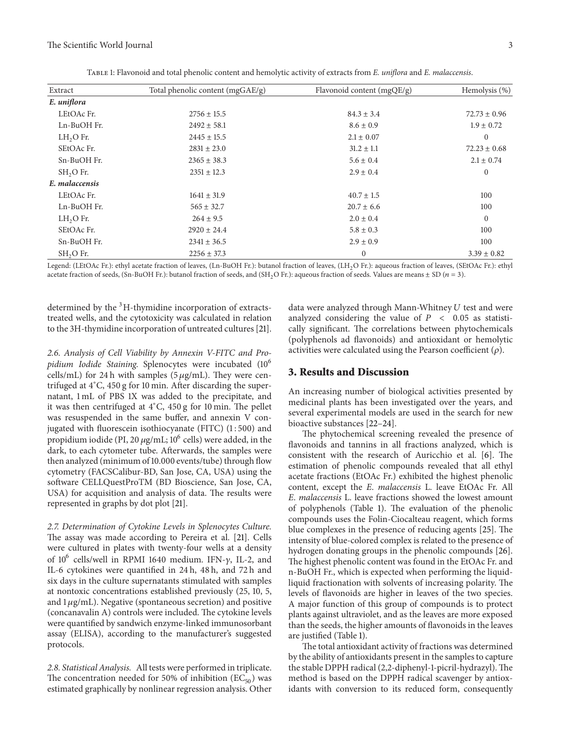| Extract               | Total phenolic content (mgGAE/g) | Flavonoid content (mgQE/g) | Hemolysis (%)    |  |
|-----------------------|----------------------------------|----------------------------|------------------|--|
| E. uniflora           |                                  |                            |                  |  |
| LEtOAc Fr.            | $2756 \pm 15.5$                  | $84.3 \pm 3.4$             | $72.73 \pm 0.96$ |  |
| Ln-BuOH Fr.           | $2492 \pm 58.1$                  | $8.6 \pm 0.9$              | $1.9 \pm 0.72$   |  |
| $LH2O$ Fr.            | $2445 \pm 15.5$                  | $2.1 \pm 0.07$             | $\mathbf{0}$     |  |
| SEtOAc Fr.            | $2831 \pm 23.0$                  | $31.2 \pm 1.1$             | $72.23 \pm 0.68$ |  |
| Sn-BuOH Fr.           | $2365 \pm 38.3$                  | $5.6 \pm 0.4$              | $2.1 \pm 0.74$   |  |
| $SH2O$ Fr.            | $2351 \pm 12.3$                  | $2.9 \pm 0.4$              | $\mathbf{0}$     |  |
| E. malaccensis        |                                  |                            |                  |  |
| LEtOAc Fr.            | $1641 \pm 31.9$                  | $40.7 \pm 1.5$             | 100              |  |
| Ln-BuOH Fr.           | $565 \pm 32.7$                   | $20.7 \pm 6.6$             | 100              |  |
| $LH2O$ Fr.            | $264 \pm 9.5$                    | $2.0 \pm 0.4$              | $\mathbf{0}$     |  |
| SEtOAc Fr.            | $2920 \pm 24.4$                  | $5.8 \pm 0.3$              | 100              |  |
| Sn-BuOH Fr.           | $2341 \pm 36.5$                  | $2.9 \pm 0.9$              | 100              |  |
| SH <sub>2</sub> O Fr. | $2256 \pm 37.3$                  | $\mathbf{0}$               | $3.39 \pm 0.82$  |  |

<span id="page-2-0"></span>Table 1: Flavonoid and total phenolic content and hemolytic activity of extracts from *E. uniflora* and *E. malaccensis*.

Legend: (LEtOAc Fr.): ethyl acetate fraction of leaves, (Ln-BuOH Fr.): butanol fraction of leaves, (LH<sub>2</sub>O Fr.): aqueous fraction of leaves, (SEtOAc Fr.): ethyl acetate fraction of seeds, (Sn-BuOH Fr.): butanol fraction of seeds, and (SH<sub>2</sub>O Fr.): aqueous fraction of seeds. Values are means  $\pm$  SD ( $n=3$ ).

determined by the <sup>3</sup>H-thymidine incorporation of extractstreated wells, and the cytotoxicity was calculated in relation to the 3H-thymidine incorporation of untreated cultures [\[21\]](#page-5-20).

*2.6. Analysis of Cell Viability by Annexin V-FITC and Propidium Iodide Staining.* Splenocytes were incubated (10<sup>6</sup> cells/mL) for 24 h with samples ( $5 \mu g/mL$ ). They were centrifuged at 4<sup>∘</sup> C, 450 g for 10 min. After discarding the supernatant, 1 mL of PBS 1X was added to the precipitate, and it was then centrifuged at 4<sup>∘</sup> C, 450 g for 10 min. The pellet was resuspended in the same buffer, and annexin V conjugated with fluorescein isothiocyanate (FITC) (1:500) and propidium iodide (PI, 20  $\mu$ g/mL; 10<sup>6</sup> cells) were added, in the dark, to each cytometer tube. Afterwards, the samples were then analyzed (minimum of 10.000 events/tube) through flow cytometry (FACSCalibur-BD, San Jose, CA, USA) using the software CELLQuestProTM (BD Bioscience, San Jose, CA, USA) for acquisition and analysis of data. The results were represented in graphs by dot plot [\[21](#page-5-20)].

*2.7. Determination of Cytokine Levels in Splenocytes Culture.* The assay was made according to Pereira et al. [\[21](#page-5-20)]. Cells were cultured in plates with twenty-four wells at a density of  $10^6$  cells/well in RPMI 1640 medium. IFN- $\gamma$ , IL-2, and IL-6 cytokines were quantified in 24 h, 48 h, and 72 h and six days in the culture supernatants stimulated with samples at nontoxic concentrations established previously (25, 10, 5, and  $1 \mu$ g/mL). Negative (spontaneous secretion) and positive (concanavalin A) controls were included. The cytokine levels were quantified by sandwich enzyme-linked immunosorbant assay (ELISA), according to the manufacturer's suggested protocols.

*2.8. Statistical Analysis.* All tests were performed in triplicate. The concentration needed for 50% of inhibition ( $EC_{50}$ ) was estimated graphically by nonlinear regression analysis. Other data were analyzed through Mann-Whitney  $U$  test and were analyzed considering the value of  $P \lt 0.05$  as statistically significant. The correlations between phytochemicals (polyphenols ad flavonoids) and antioxidant or hemolytic activities were calculated using the Pearson coefficient  $(\rho)$ .

#### **3. Results and Discussion**

An increasing number of biological activities presented by medicinal plants has been investigated over the years, and several experimental models are used in the search for new bioactive substances [\[22](#page-5-21)[–24\]](#page-5-22).

The phytochemical screening revealed the presence of flavonoids and tannins in all fractions analyzed, which is consistent with the research of Auricchio et al. [\[6](#page-5-6)]. The estimation of phenolic compounds revealed that all ethyl acetate fractions (EtOAc Fr.) exhibited the highest phenolic content, except the *E*. *malaccensis* L. leave EtOAc Fr. All *E*. *malaccensis* L. leave fractions showed the lowest amount of polyphenols (Table [1\)](#page-2-0). The evaluation of the phenolic compounds uses the Folin-Ciocalteau reagent, which forms blue complexes in the presence of reducing agents [\[25](#page-5-23)]. The intensity of blue-colored complex is related to the presence of hydrogen donating groups in the phenolic compounds [\[26](#page-5-24)]. The highest phenolic content was found in the EtOAc Fr. and n-BuOH Fr., which is expected when performing the liquidliquid fractionation with solvents of increasing polarity. The levels of flavonoids are higher in leaves of the two species. A major function of this group of compounds is to protect plants against ultraviolet, and as the leaves are more exposed than the seeds, the higher amounts of flavonoids in the leaves are justified (Table [1\)](#page-2-0).

The total antioxidant activity of fractions was determined by the ability of antioxidants present in the samples to capture the stable DPPH radical (2,2-diphenyl-1-picril-hydrazyl).The method is based on the DPPH radical scavenger by antioxidants with conversion to its reduced form, consequently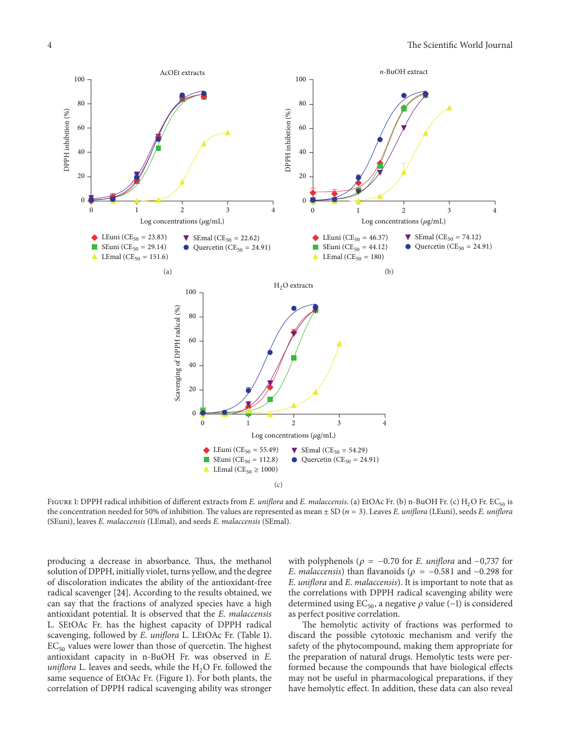

<span id="page-3-0"></span>FIGURE 1: DPPH radical inhibition of different extracts from *E. uniflora* and *E. malaccensis*. (a) EtOAc Fr. (b) n-BuOH Fr. (c) H<sub>2</sub>O Fr. EC<sub>50</sub> is the concentration needed for 50% of inhibition. The values are represented as mean  $\pm$  SD ( $n = 3$ ). Leaves *E. uniflora* (LEuni), seeds *E. uniflora* (SEuni), leaves *E. malaccensis* (LEmal), and seeds *E. malaccensis* (SEmal).

producing a decrease in absorbance. Thus, the methanol solution of DPPH, initially violet, turns yellow, and the degree of discoloration indicates the ability of the antioxidant-free radical scavenger [\[24](#page-5-22)]. According to the results obtained, we can say that the fractions of analyzed species have a high antioxidant potential. It is observed that the *E*. *malaccensis* L. SEtOAc Fr. has the highest capacity of DPPH radical scavenging, followed by *E*. *uniflora* L. LEtOAc Fr. (Table [1\)](#page-2-0).  $EC_{50}$  values were lower than those of quercetin. The highest antioxidant capacity in n-BuOH Fr. was observed in *E. uniflora* L. leaves and seeds, while the  $H_2O$  Fr. followed the same sequence of EtOAc Fr. (Figure [1\)](#page-3-0). For both plants, the correlation of DPPH radical scavenging ability was stronger with polyphenols ( $\rho = -0.70$  for *E. uniflora* and  $-0.737$  for *E*. *malaccensis*) than flavanoids ( $\rho = -0.581$  and  $-0.298$  for *E*. *uniflora* and *E*. *malaccensis*). It is important to note that as the correlations with DPPH radical scavenging ability were determined using  $EC_{50}$ , a negative  $ρ$  value (-1) is considered as perfect positive correlation.

The hemolytic activity of fractions was performed to discard the possible cytotoxic mechanism and verify the safety of the phytocompound, making them appropriate for the preparation of natural drugs. Hemolytic tests were performed because the compounds that have biological effects may not be useful in pharmacological preparations, if they have hemolytic effect. In addition, these data can also reveal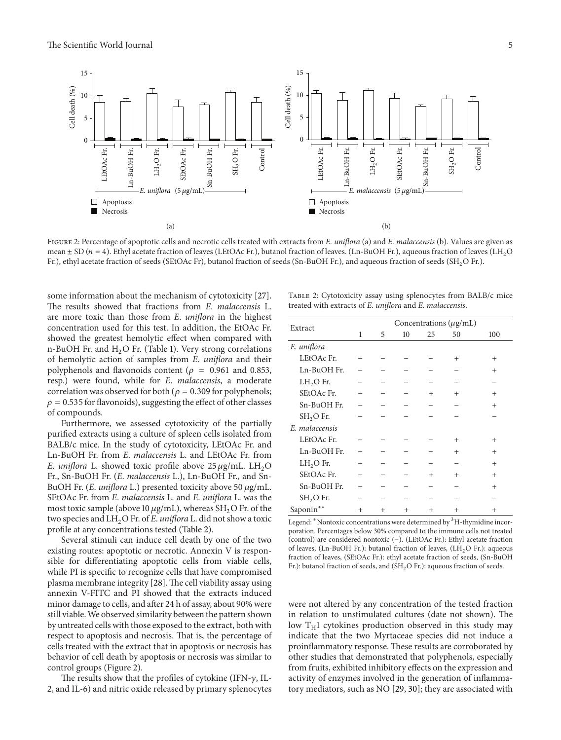

<span id="page-4-1"></span>Figure 2: Percentage of apoptotic cells and necrotic cells treated with extracts from *E. uniflora* (a) and *E. malaccensis* (b). Values are given as mean  $\pm$  SD ( $n = 4$ ). Ethyl acetate fraction of leaves (LEtOAc Fr.), butanol fraction of leaves. (Ln-BuOH Fr.), aqueous fraction of leaves (LH<sub>2</sub>O Fr.), ethyl acetate fraction of seeds (SEtOAc Fr), butanol fraction of seeds (Sn-BuOH Fr.), and aqueous fraction of seeds (SH<sub>2</sub>O Fr.).

some information about the mechanism of cytotoxicity [\[27\]](#page-6-0). The results showed that fractions from *E*. *malaccensis* L. are more toxic than those from *E*. *uniflora* in the highest concentration used for this test. In addition, the EtOAc Fr. showed the greatest hemolytic effect when compared with n-BuOH Fr. and  $H_2O$  Fr. (Table [1\)](#page-2-0). Very strong correlations of hemolytic action of samples from *E*. *uniflora* and their polyphenols and flavonoids content ( $\rho = 0.961$  and 0.853, resp.) were found, while for *E*. *malaccensis*, a moderate correlation was observed for both ( $\rho = 0.309$  for polyphenols;  $\rho = 0.535$  for flavonoids), suggesting the effect of other classes of compounds.

Furthermore, we assessed cytotoxicity of the partially purified extracts using a culture of spleen cells isolated from BALB/c mice. In the study of cytotoxicity, LEtOAc Fr. and Ln-BuOH Fr. from *E*. *malaccensis* L. and LEtOAc Fr. from *E. uniflora* L. showed toxic profile above  $25 \mu g/mL$ . LH<sub>2</sub>O Fr., Sn-BuOH Fr. (*E*. *malaccensis* L.), Ln-BuOH Fr., and Sn-BuOH Fr. (*E. uniflora L.*) presented toxicity above 50 µg/mL. SEtOAc Fr. from *E*. *malaccensis* L. and *E*. *uniflora* L. was the most toxic sample (above 10  $\mu$ g/mL), whereas SH<sub>2</sub>O Fr. of the two species and LH2O Fr. of *E*. *uniflora* L. did not show a toxic profile at any concentrations tested (Table [2\)](#page-4-0).

Several stimuli can induce cell death by one of the two existing routes: apoptotic or necrotic. Annexin V is responsible for differentiating apoptotic cells from viable cells, while PI is specific to recognize cells that have compromised plasma membrane integrity [\[28\]](#page-6-1).The cell viability assay using annexin V-FITC and PI showed that the extracts induced minor damage to cells, and after 24 h of assay, about 90% were still viable.We observed similarity between the pattern shown by untreated cells with those exposed to the extract, both with respect to apoptosis and necrosis. That is, the percentage of cells treated with the extract that in apoptosis or necrosis has behavior of cell death by apoptosis or necrosis was similar to control groups (Figure [2\)](#page-4-1).

The results show that the profiles of cytokine (IFN- $\gamma$ , IL-2, and IL-6) and nitric oxide released by primary splenocytes

<span id="page-4-0"></span>Table 2: Cytotoxicity assay using splenocytes from BALB/c mice treated with extracts of *E. uniflora* and *E. malaccensis*.

| Extract               | Concentrations ( $\mu$ g/mL) |        |      |        |        |                 |  |
|-----------------------|------------------------------|--------|------|--------|--------|-----------------|--|
|                       | 1                            | 5      | 10   | 25     | 50     | 100             |  |
| E. uniflora           |                              |        |      |        |        |                 |  |
| LEtOAc Fr.            |                              |        |      |        | $^{+}$ | $\overline{+}$  |  |
| Ln-BuOH Fr.           |                              |        |      |        |        | $^{+}$          |  |
| $LH2O$ Fr.            |                              |        |      |        |        |                 |  |
| SEtOAc Fr.            |                              |        |      | $^{+}$ | $^{+}$ | $\overline{+}$  |  |
| Sn-BuOH Fr.           |                              |        |      |        |        | $\div$          |  |
| $SH2O$ Fr.            |                              |        |      |        |        |                 |  |
| E. malaccensis        |                              |        |      |        |        |                 |  |
| LEtOAc Fr.            |                              |        |      |        | $^{+}$ | $\overline{+}$  |  |
| Ln-BuOH Fr.           |                              |        |      |        | $^{+}$ | $\div$          |  |
| LH <sub>2</sub> O Fr. |                              |        |      |        |        | $^{+}$          |  |
| SEtOAc Fr.            |                              |        |      | $^{+}$ | $^{+}$ | $^{+}$          |  |
| Sn-BuOH Fr.           |                              |        |      |        |        | $^{+}$          |  |
| SH <sub>2</sub> O Fr. |                              |        |      |        |        |                 |  |
| Saponin               | $^+$                         | $^{+}$ | $^+$ | $^+$   | $^+$   | $^{\mathrm{+}}$ |  |

Legend: <sup>\*</sup>Nontoxic concentrations were determined by <sup>3</sup>H-thymidine incorporation. Percentages below 30% compared to the immune cells not treated (control) are considered nontoxic (−). (LEtOAc Fr.): Ethyl acetate fraction of leaves, (Ln-BuOH Fr.): butanol fraction of leaves, (LH<sub>2</sub>O Fr.): aqueous fraction of leaves, (SEtOAc Fr.): ethyl acetate fraction of seeds, (Sn-BuOH Fr.): butanol fraction of seeds, and  $(SH<sub>2</sub>O Fr.)$ : aqueous fraction of seeds.

were not altered by any concentration of the tested fraction in relation to unstimulated cultures (date not shown). The low  $T_H1$  cytokines production observed in this study may indicate that the two Myrtaceae species did not induce a proinflammatory response. These results are corroborated by other studies that demonstrated that polyphenols, especially from fruits, exhibited inhibitory effects on the expression and activity of enzymes involved in the generation of inflammatory mediators, such as NO [\[29](#page-6-2), [30](#page-6-3)]; they are associated with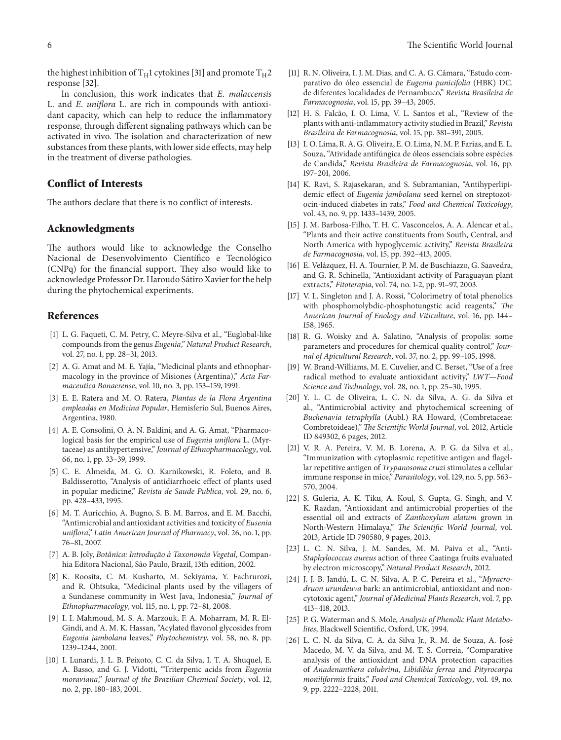the highest inhibition of  $T_H1$  cytokines [\[31\]](#page-6-4) and promote  $T_H2$ response [\[32](#page-6-5)].

In conclusion, this work indicates that *E*. *malaccensis* L. and *E*. *uniflora* L. are rich in compounds with antioxidant capacity, which can help to reduce the inflammatory response, through different signaling pathways which can be activated in vivo. The isolation and characterization of new substances from these plants, with lower side effects, may help in the treatment of diverse pathologies.

#### **Conflict of Interests**

The authors declare that there is no conflict of interests.

#### **Acknowledgments**

The authors would like to acknowledge the Conselho Nacional de Desenvolvimento Científico e Tecnológico (CNPq) for the financial support. They also would like to acknowledge Professor Dr. Haroudo Sátiro Xavier for the help during the phytochemical experiments.

#### <span id="page-5-0"></span>**References**

- <span id="page-5-1"></span>[1] L. G. Faqueti, C. M. Petry, C. Meyre-Silva et al., "Euglobal-like compounds from the genus *Eugenia*," *Natural Product Research*, vol. 27, no. 1, pp. 28–31, 2013.
- <span id="page-5-2"></span>[2] A. G. Amat and M. E. Yajía, "Medicinal plants and ethnopharmacology in the province of Misiones (Argentina)," *Acta Farmaceutica Bonaerense*, vol. 10, no. 3, pp. 153–159, 1991.
- <span id="page-5-3"></span>[3] E. E. Ratera and M. O. Ratera, *Plantas de la Flora Argentina empleadas en Medicina Popular*, Hemisferio Sul, Buenos Aires, Argentina, 1980.
- <span id="page-5-4"></span>[4] A. E. Consolini, O. A. N. Baldini, and A. G. Amat, "Pharmacological basis for the empirical use of *Eugenia uniflora* L. (Myrtaceae) as antihypertensive," *Journal of Ethnopharmacology*, vol. 66, no. 1, pp. 33–39, 1999.
- <span id="page-5-5"></span>[5] C. E. Almeida, M. G. O. Karnikowski, R. Foleto, and B. Baldisserotto, "Analysis of antidiarrhoeic effect of plants used in popular medicine," *Revista de Saude Publica*, vol. 29, no. 6, pp. 428–433, 1995.
- <span id="page-5-6"></span>[6] M. T. Auricchio, A. Bugno, S. B. M. Barros, and E. M. Bacchi, "Antimicrobial and antioxidant activities and toxicity of *Eusenia uniflora*," *Latin American Journal of Pharmacy*, vol. 26, no. 1, pp. 76–81, 2007.
- <span id="page-5-7"></span>[7] A. B. Joly, *Botanica: Introduc ˆ ¸ao˜ a Taxonomia Vegetal `* , Companhia Editora Nacional, São Paulo, Brazil, 13th edition, 2002.
- <span id="page-5-8"></span>[8] K. Roosita, C. M. Kusharto, M. Sekiyama, Y. Fachrurozi, and R. Ohtsuka, "Medicinal plants used by the villagers of a Sundanese community in West Java, Indonesia," *Journal of Ethnopharmacology*, vol. 115, no. 1, pp. 72–81, 2008.
- <span id="page-5-9"></span>[9] I. I. Mahmoud, M. S. A. Marzouk, F. A. Moharram, M. R. El-Gindi, and A. M. K. Hassan, "Acylated flavonol glycosides from *Eugenia jambolana* leaves," *Phytochemistry*, vol. 58, no. 8, pp. 1239–1244, 2001.
- <span id="page-5-10"></span>[10] I. Lunardi, J. L. B. Peixoto, C. C. da Silva, I. T. A. Shuquel, E. A. Basso, and G. J. Vidotti, "Triterpenic acids from *Eugenia moraviana*," *Journal of the Brazilian Chemical Society*, vol. 12, no. 2, pp. 180–183, 2001.
- <span id="page-5-11"></span>[11] R. N. Oliveira, I. J. M. Dias, and C. A. G. Câmara, "Estudo comparativo do óleo essencial de Eugenia punicifolia (HBK) DC. de diferentes localidades de Pernambuco," *Revista Brasileira de Farmacognosia*, vol. 15, pp. 39–43, 2005.
- <span id="page-5-12"></span>[12] H. S. Falcão, I. O. Lima, V. L. Santos et al., "Review of the plants with anti-inflammatory activity studied in Brazil," *Revista Brasileira de Farmacognosia*, vol. 15, pp. 381–391, 2005.
- <span id="page-5-13"></span>[13] I. O. Lima, R. A. G. Oliveira, E. O. Lima, N. M. P. Farias, and E. L. Souza, "Atividade antifúngica de óleos essenciais sobre espécies de Candida," *Revista Brasileira de Farmacognosia*, vol. 16, pp. 197–201, 2006.
- <span id="page-5-14"></span>[14] K. Ravi, S. Rajasekaran, and S. Subramanian, "Antihyperlipidemic effect of *Eugenia jambolana* seed kernel on streptozotocin-induced diabetes in rats," *Food and Chemical Toxicology*, vol. 43, no. 9, pp. 1433–1439, 2005.
- <span id="page-5-15"></span>[15] J. M. Barbosa-Filho, T. H. C. Vasconcelos, A. A. Alencar et al., "Plants and their active constituents from South, Central, and North America with hypoglycemic activity," *Revista Brasileira de Farmacognosia*, vol. 15, pp. 392–413, 2005.
- <span id="page-5-16"></span>[16] E. Velázquez, H. A. Tournier, P. M. de Buschiazzo, G. Saavedra, and G. R. Schinella, "Antioxidant activity of Paraguayan plant extracts," *Fitoterapia*, vol. 74, no. 1-2, pp. 91–97, 2003.
- <span id="page-5-17"></span>[17] V. L. Singleton and J. A. Rossi, "Colorimetry of total phenolics with phosphomolybdic-phosphotungstic acid reagents," *The American Journal of Enology and Viticulture*, vol. 16, pp. 144– 158, 1965.
- <span id="page-5-18"></span>[18] R. G. Woisky and A. Salatino, "Analysis of propolis: some parameters and procedures for chemical quality control," *Journal of Apicultural Research*, vol. 37, no. 2, pp. 99–105, 1998.
- <span id="page-5-19"></span>[19] W. Brand-Williams, M. E. Cuvelier, and C. Berset, "Use of a free radical method to evaluate antioxidant activity," *LWT—Food Science and Technology*, vol. 28, no. 1, pp. 25–30, 1995.
- [20] Y. L. C. de Oliveira, L. C. N. da Silva, A. G. da Silva et al., "Antimicrobial activity and phytochemical screening of *Buchenavia tetraphylla* (Aubl.) RA Howard, (Combretaceae: Combretoideae)," *The Scientific World Journal*, vol. 2012, Article ID 849302, 6 pages, 2012.
- <span id="page-5-20"></span>[21] V. R. A. Pereira, V. M. B. Lorena, A. P. G. da Silva et al., "Immunization with cytoplasmic repetitive antigen and flagellar repetitive antigen of *Trypanosoma cruzi* stimulates a cellular immune response in mice," *Parasitology*, vol. 129, no. 5, pp. 563– 570, 2004.
- <span id="page-5-21"></span>[22] S. Guleria, A. K. Tiku, A. Koul, S. Gupta, G. Singh, and V. K. Razdan, "Antioxidant and antimicrobial properties of the essential oil and extracts of *Zanthoxylum alatum* grown in North-Western Himalaya," *The Scientific World Journal*, vol. 2013, Article ID 790580, 9 pages, 2013.
- [23] L. C. N. Silva, J. M. Sandes, M. M. Paiva et al., "Anti-*Staphylococcus aureus* action of three Caatinga fruits evaluated by electron microscopy," *Natural Product Research*, 2012.
- <span id="page-5-22"></span>[24] J. J. B. Jandú, L. C. N. Silva, A. P. C. Pereira et al., "Myracro*druon urundeuva* bark: an antimicrobial, antioxidant and noncytotoxic agent," *Journal of Medicinal Plants Research*, vol. 7, pp. 413–418, 2013.
- <span id="page-5-23"></span>[25] P. G. Waterman and S. Mole, *Analysis of Phenolic Plant Metabolites*, Blackwell Scientific, Oxford, UK, 1994.
- <span id="page-5-24"></span>[26] L. C. N. da Silva, C. A. da Silva Jr., R. M. de Souza, A. José Macedo, M. V. da Silva, and M. T. S. Correia, "Comparative analysis of the antioxidant and DNA protection capacities of *Anadenanthera colubrina*, *Libidibia ferrea* and *Pityrocarpa moniliformis* fruits," *Food and Chemical Toxicology*, vol. 49, no. 9, pp. 2222–2228, 2011.